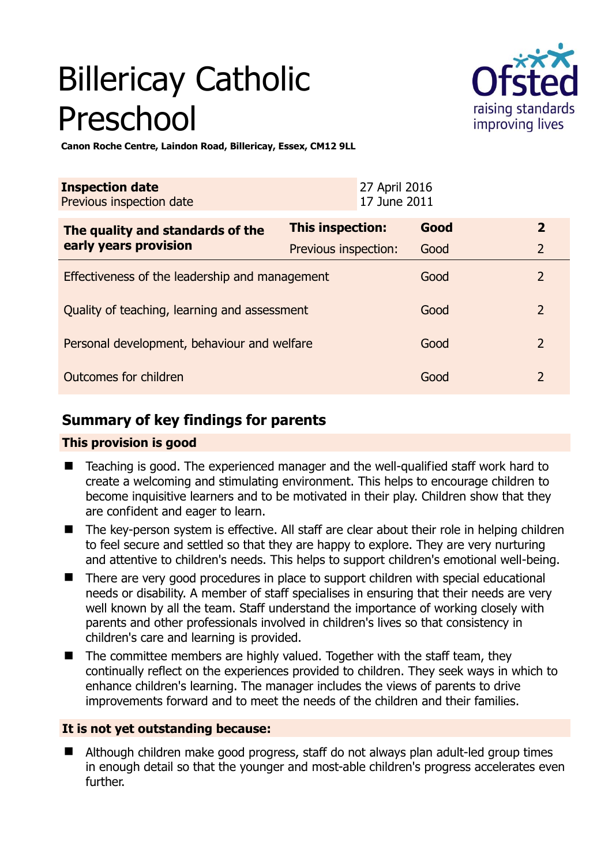# Billericay Catholic Preschool



**Canon Roche Centre, Laindon Road, Billericay, Essex, CM12 9LL** 

| <b>Inspection date</b><br>Previous inspection date        |                      | 27 April 2016<br>17 June 2011 |      |                |
|-----------------------------------------------------------|----------------------|-------------------------------|------|----------------|
| The quality and standards of the<br>early years provision | This inspection:     |                               | Good | $\overline{2}$ |
|                                                           | Previous inspection: |                               | Good | $\overline{2}$ |
| Effectiveness of the leadership and management            |                      |                               | Good | $\overline{2}$ |
| Quality of teaching, learning and assessment              |                      |                               | Good | $\overline{2}$ |
| Personal development, behaviour and welfare               |                      |                               | Good | $\overline{2}$ |
| Outcomes for children                                     |                      |                               | Good | $\overline{2}$ |

# **Summary of key findings for parents**

### **This provision is good**

- Teaching is good. The experienced manager and the well-qualified staff work hard to create a welcoming and stimulating environment. This helps to encourage children to become inquisitive learners and to be motivated in their play. Children show that they are confident and eager to learn.
- The key-person system is effective. All staff are clear about their role in helping children to feel secure and settled so that they are happy to explore. They are very nurturing and attentive to children's needs. This helps to support children's emotional well-being.
- There are very good procedures in place to support children with special educational needs or disability. A member of staff specialises in ensuring that their needs are very well known by all the team. Staff understand the importance of working closely with parents and other professionals involved in children's lives so that consistency in children's care and learning is provided.
- $\blacksquare$  The committee members are highly valued. Together with the staff team, they continually reflect on the experiences provided to children. They seek ways in which to enhance children's learning. The manager includes the views of parents to drive improvements forward and to meet the needs of the children and their families.

#### **It is not yet outstanding because:**

 Although children make good progress, staff do not always plan adult-led group times in enough detail so that the younger and most-able children's progress accelerates even further.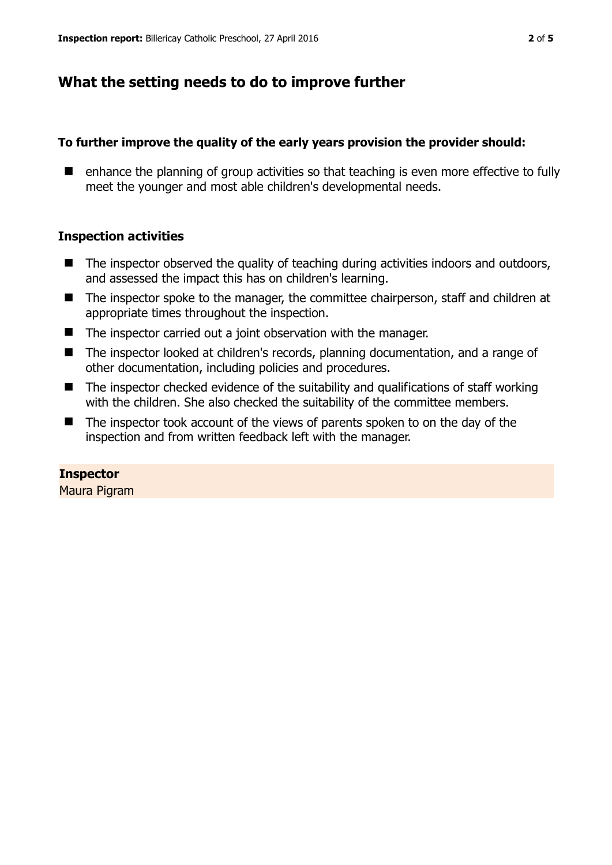## **What the setting needs to do to improve further**

#### **To further improve the quality of the early years provision the provider should:**

■ enhance the planning of group activities so that teaching is even more effective to fully meet the younger and most able children's developmental needs.

#### **Inspection activities**

- The inspector observed the quality of teaching during activities indoors and outdoors, and assessed the impact this has on children's learning.
- The inspector spoke to the manager, the committee chairperson, staff and children at appropriate times throughout the inspection.
- $\blacksquare$  The inspector carried out a joint observation with the manager.
- The inspector looked at children's records, planning documentation, and a range of other documentation, including policies and procedures.
- $\blacksquare$  The inspector checked evidence of the suitability and qualifications of staff working with the children. She also checked the suitability of the committee members.
- The inspector took account of the views of parents spoken to on the day of the inspection and from written feedback left with the manager.

#### **Inspector**

Maura Pigram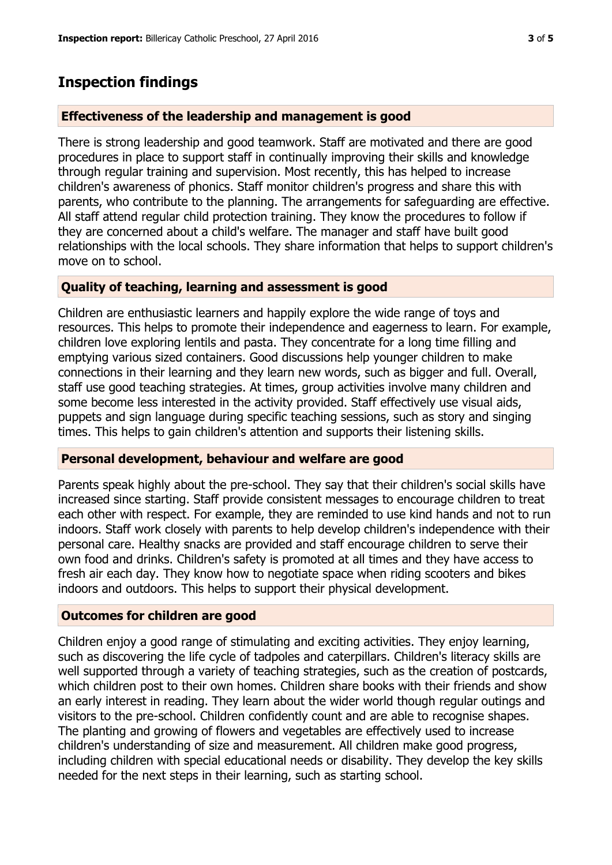## **Inspection findings**

#### **Effectiveness of the leadership and management is good**

There is strong leadership and good teamwork. Staff are motivated and there are good procedures in place to support staff in continually improving their skills and knowledge through regular training and supervision. Most recently, this has helped to increase children's awareness of phonics. Staff monitor children's progress and share this with parents, who contribute to the planning. The arrangements for safeguarding are effective. All staff attend regular child protection training. They know the procedures to follow if they are concerned about a child's welfare. The manager and staff have built good relationships with the local schools. They share information that helps to support children's move on to school.

#### **Quality of teaching, learning and assessment is good**

Children are enthusiastic learners and happily explore the wide range of toys and resources. This helps to promote their independence and eagerness to learn. For example, children love exploring lentils and pasta. They concentrate for a long time filling and emptying various sized containers. Good discussions help younger children to make connections in their learning and they learn new words, such as bigger and full. Overall, staff use good teaching strategies. At times, group activities involve many children and some become less interested in the activity provided. Staff effectively use visual aids, puppets and sign language during specific teaching sessions, such as story and singing times. This helps to gain children's attention and supports their listening skills.

#### **Personal development, behaviour and welfare are good**

Parents speak highly about the pre-school. They say that their children's social skills have increased since starting. Staff provide consistent messages to encourage children to treat each other with respect. For example, they are reminded to use kind hands and not to run indoors. Staff work closely with parents to help develop children's independence with their personal care. Healthy snacks are provided and staff encourage children to serve their own food and drinks. Children's safety is promoted at all times and they have access to fresh air each day. They know how to negotiate space when riding scooters and bikes indoors and outdoors. This helps to support their physical development.

#### **Outcomes for children are good**

Children enjoy a good range of stimulating and exciting activities. They enjoy learning, such as discovering the life cycle of tadpoles and caterpillars. Children's literacy skills are well supported through a variety of teaching strategies, such as the creation of postcards, which children post to their own homes. Children share books with their friends and show an early interest in reading. They learn about the wider world though regular outings and visitors to the pre-school. Children confidently count and are able to recognise shapes. The planting and growing of flowers and vegetables are effectively used to increase children's understanding of size and measurement. All children make good progress, including children with special educational needs or disability. They develop the key skills needed for the next steps in their learning, such as starting school.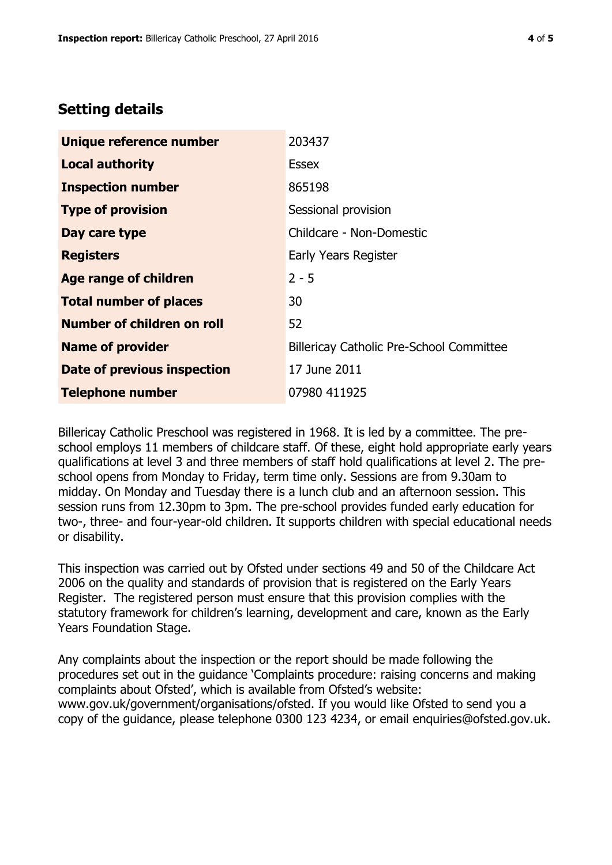## **Setting details**

| Unique reference number       | 203437                                          |  |
|-------------------------------|-------------------------------------------------|--|
| <b>Local authority</b>        | <b>Essex</b>                                    |  |
| <b>Inspection number</b>      | 865198                                          |  |
| <b>Type of provision</b>      | Sessional provision                             |  |
| Day care type                 | Childcare - Non-Domestic                        |  |
| <b>Registers</b>              | <b>Early Years Register</b>                     |  |
| Age range of children         | $2 - 5$                                         |  |
| <b>Total number of places</b> | 30                                              |  |
| Number of children on roll    | 52                                              |  |
| <b>Name of provider</b>       | <b>Billericay Catholic Pre-School Committee</b> |  |
| Date of previous inspection   | 17 June 2011                                    |  |
| <b>Telephone number</b>       | 07980 411925                                    |  |

Billericay Catholic Preschool was registered in 1968. It is led by a committee. The preschool employs 11 members of childcare staff. Of these, eight hold appropriate early years qualifications at level 3 and three members of staff hold qualifications at level 2. The preschool opens from Monday to Friday, term time only. Sessions are from 9.30am to midday. On Monday and Tuesday there is a lunch club and an afternoon session. This session runs from 12.30pm to 3pm. The pre-school provides funded early education for two-, three- and four-year-old children. It supports children with special educational needs or disability.

This inspection was carried out by Ofsted under sections 49 and 50 of the Childcare Act 2006 on the quality and standards of provision that is registered on the Early Years Register. The registered person must ensure that this provision complies with the statutory framework for children's learning, development and care, known as the Early Years Foundation Stage.

Any complaints about the inspection or the report should be made following the procedures set out in the guidance 'Complaints procedure: raising concerns and making complaints about Ofsted', which is available from Ofsted's website: www.gov.uk/government/organisations/ofsted. If you would like Ofsted to send you a copy of the guidance, please telephone 0300 123 4234, or email enquiries@ofsted.gov.uk.